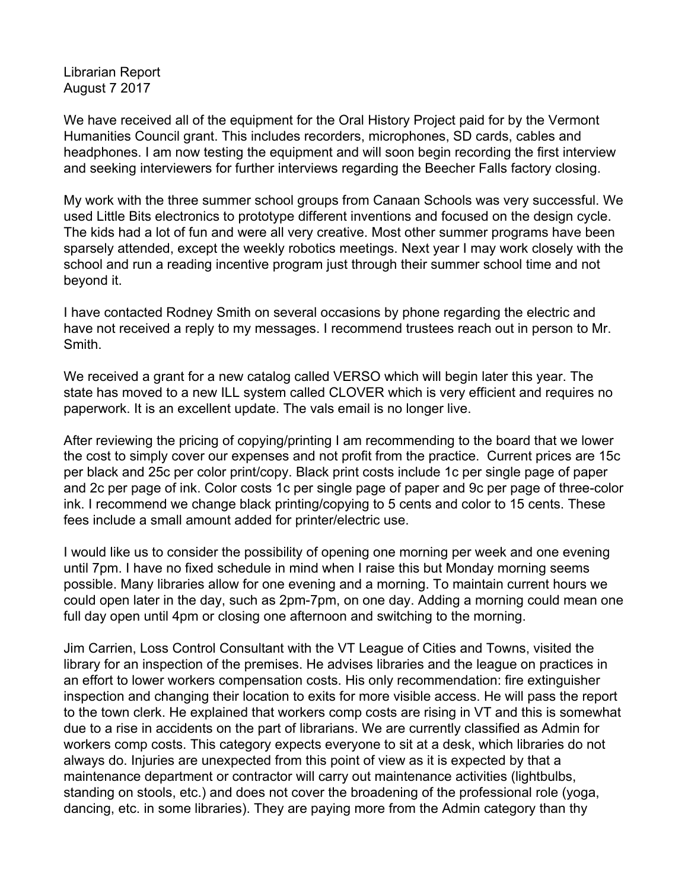Librarian Report August 7 2017

We have received all of the equipment for the Oral History Project paid for by the Vermont Humanities Council grant. This includes recorders, microphones, SD cards, cables and headphones. I am now testing the equipment and will soon begin recording the first interview and seeking interviewers for further interviews regarding the Beecher Falls factory closing.

My work with the three summer school groups from Canaan Schools was very successful. We used Little Bits electronics to prototype different inventions and focused on the design cycle. The kids had a lot of fun and were all very creative. Most other summer programs have been sparsely attended, except the weekly robotics meetings. Next year I may work closely with the school and run a reading incentive program just through their summer school time and not beyond it.

I have contacted Rodney Smith on several occasions by phone regarding the electric and have not received a reply to my messages. I recommend trustees reach out in person to Mr. Smith.

We received a grant for a new catalog called VERSO which will begin later this year. The state has moved to a new ILL system called CLOVER which is very efficient and requires no paperwork. It is an excellent update. The vals email is no longer live.

After reviewing the pricing of copying/printing I am recommending to the board that we lower the cost to simply cover our expenses and not profit from the practice. Current prices are 15c per black and 25c per color print/copy. Black print costs include 1c per single page of paper and 2c per page of ink. Color costs 1c per single page of paper and 9c per page of three-color ink. I recommend we change black printing/copying to 5 cents and color to 15 cents. These fees include a small amount added for printer/electric use.

I would like us to consider the possibility of opening one morning per week and one evening until 7pm. I have no fixed schedule in mind when I raise this but Monday morning seems possible. Many libraries allow for one evening and a morning. To maintain current hours we could open later in the day, such as 2pm-7pm, on one day. Adding a morning could mean one full day open until 4pm or closing one afternoon and switching to the morning.

Jim Carrien, Loss Control Consultant with the VT League of Cities and Towns, visited the library for an inspection of the premises. He advises libraries and the league on practices in an effort to lower workers compensation costs. His only recommendation: fire extinguisher inspection and changing their location to exits for more visible access. He will pass the report to the town clerk. He explained that workers comp costs are rising in VT and this is somewhat due to a rise in accidents on the part of librarians. We are currently classified as Admin for workers comp costs. This category expects everyone to sit at a desk, which libraries do not always do. Injuries are unexpected from this point of view as it is expected by that a maintenance department or contractor will carry out maintenance activities (lightbulbs, standing on stools, etc.) and does not cover the broadening of the professional role (yoga, dancing, etc. in some libraries). They are paying more from the Admin category than thy